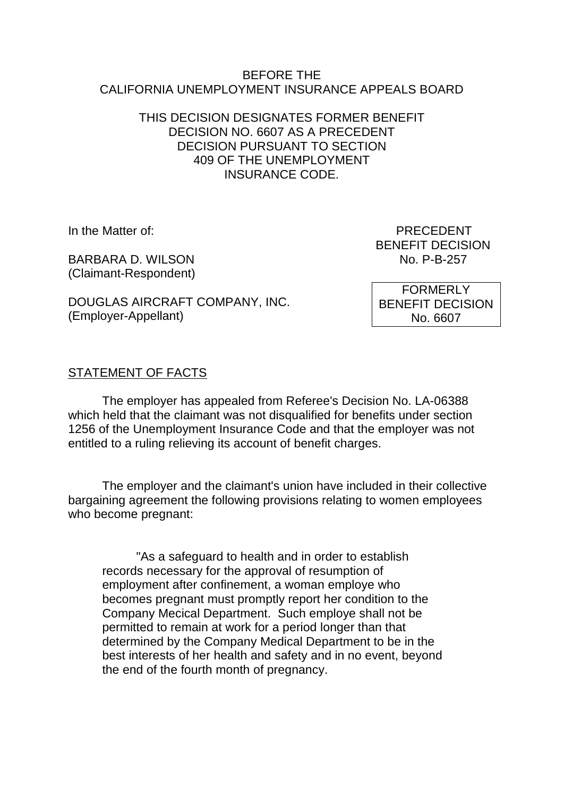#### BEFORE THE CALIFORNIA UNEMPLOYMENT INSURANCE APPEALS BOARD

## THIS DECISION DESIGNATES FORMER BENEFIT DECISION NO. 6607 AS A PRECEDENT DECISION PURSUANT TO SECTION 409 OF THE UNEMPLOYMENT INSURANCE CODE.

BARBARA D. WILSON NO. P-B-257 (Claimant-Respondent)

DOUGLAS AIRCRAFT COMPANY, INC. (Employer-Appellant)

In the Matter of: PRECEDENT BENEFIT DECISION

> FORMERLY BENEFIT DECISION No. 6607

# STATEMENT OF FACTS

The employer has appealed from Referee's Decision No. LA-06388 which held that the claimant was not disqualified for benefits under section 1256 of the Unemployment Insurance Code and that the employer was not entitled to a ruling relieving its account of benefit charges.

The employer and the claimant's union have included in their collective bargaining agreement the following provisions relating to women employees who become pregnant:

"As a safeguard to health and in order to establish records necessary for the approval of resumption of employment after confinement, a woman employe who becomes pregnant must promptly report her condition to the Company Mecical Department. Such employe shall not be permitted to remain at work for a period longer than that determined by the Company Medical Department to be in the best interests of her health and safety and in no event, beyond the end of the fourth month of pregnancy.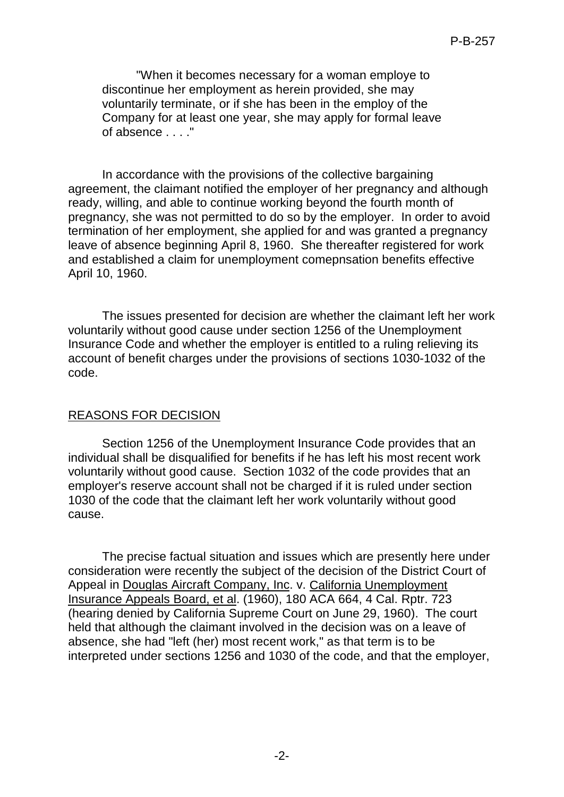"When it becomes necessary for a woman employe to discontinue her employment as herein provided, she may voluntarily terminate, or if she has been in the employ of the Company for at least one year, she may apply for formal leave of absence . . . ."

In accordance with the provisions of the collective bargaining agreement, the claimant notified the employer of her pregnancy and although ready, willing, and able to continue working beyond the fourth month of pregnancy, she was not permitted to do so by the employer. In order to avoid termination of her employment, she applied for and was granted a pregnancy leave of absence beginning April 8, 1960. She thereafter registered for work and established a claim for unemployment comepnsation benefits effective April 10, 1960.

The issues presented for decision are whether the claimant left her work voluntarily without good cause under section 1256 of the Unemployment Insurance Code and whether the employer is entitled to a ruling relieving its account of benefit charges under the provisions of sections 1030-1032 of the code.

#### REASONS FOR DECISION

Section 1256 of the Unemployment Insurance Code provides that an individual shall be disqualified for benefits if he has left his most recent work voluntarily without good cause. Section 1032 of the code provides that an employer's reserve account shall not be charged if it is ruled under section 1030 of the code that the claimant left her work voluntarily without good cause.

The precise factual situation and issues which are presently here under consideration were recently the subject of the decision of the District Court of Appeal in Douglas Aircraft Company, Inc. v. California Unemployment Insurance Appeals Board, et al. (1960), 180 ACA 664, 4 Cal. Rptr. 723 (hearing denied by California Supreme Court on June 29, 1960). The court held that although the claimant involved in the decision was on a leave of absence, she had "left (her) most recent work," as that term is to be interpreted under sections 1256 and 1030 of the code, and that the employer,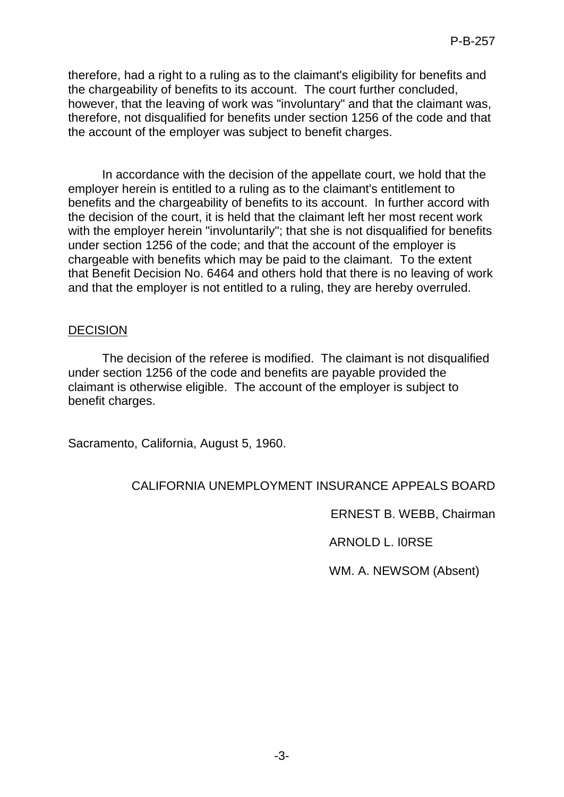therefore, had a right to a ruling as to the claimant's eligibility for benefits and the chargeability of benefits to its account. The court further concluded, however, that the leaving of work was "involuntary" and that the claimant was, therefore, not disqualified for benefits under section 1256 of the code and that the account of the employer was subject to benefit charges.

In accordance with the decision of the appellate court, we hold that the employer herein is entitled to a ruling as to the claimant's entitlement to benefits and the chargeability of benefits to its account. In further accord with the decision of the court, it is held that the claimant left her most recent work with the employer herein "involuntarily"; that she is not disqualified for benefits under section 1256 of the code; and that the account of the employer is chargeable with benefits which may be paid to the claimant. To the extent that Benefit Decision No. 6464 and others hold that there is no leaving of work and that the employer is not entitled to a ruling, they are hereby overruled.

# DECISION

The decision of the referee is modified. The claimant is not disqualified under section 1256 of the code and benefits are payable provided the claimant is otherwise eligible. The account of the employer is subject to benefit charges.

Sacramento, California, August 5, 1960.

# CALIFORNIA UNEMPLOYMENT INSURANCE APPEALS BOARD

ERNEST B. WEBB, Chairman

ARNOLD L. I0RSE

WM. A. NEWSOM (Absent)